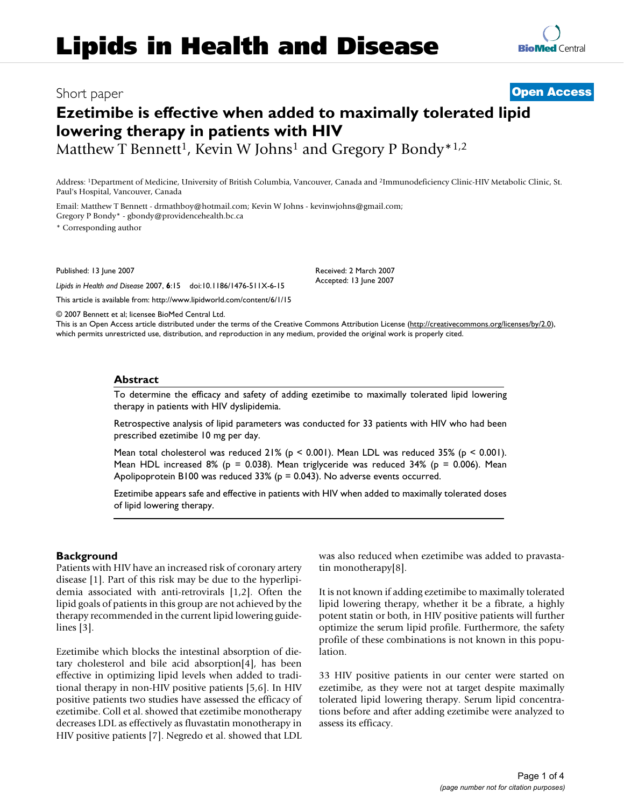## Short paper **[Open Access](http://www.biomedcentral.com/info/about/charter/)**

**[BioMed](http://www.biomedcentral.com/)** Central

# **Ezetimibe is effective when added to maximally tolerated lipid lowering therapy in patients with HIV**

Matthew T Bennett<sup>1</sup>, Kevin W Johns<sup>1</sup> and Gregory P Bondy<sup>\*1,2</sup>

Address: 1Department of Medicine, University of British Columbia, Vancouver, Canada and 2Immunodeficiency Clinic-HIV Metabolic Clinic, St. Paul's Hospital, Vancouver, Canada

Email: Matthew T Bennett - drmathboy@hotmail.com; Kevin W Johns - kevinwjohns@gmail.com; Gregory P Bondy\* - gbondy@providencehealth.bc.ca

\* Corresponding author

Published: 13 June 2007

*Lipids in Health and Disease* 2007, **6**:15 doi:10.1186/1476-511X-6-15

[This article is available from: http://www.lipidworld.com/content/6/1/15](http://www.lipidworld.com/content/6/1/15)

© 2007 Bennett et al; licensee BioMed Central Ltd.

This is an Open Access article distributed under the terms of the Creative Commons Attribution License [\(http://creativecommons.org/licenses/by/2.0\)](http://creativecommons.org/licenses/by/2.0), which permits unrestricted use, distribution, and reproduction in any medium, provided the original work is properly cited.

Received: 2 March 2007 Accepted: 13 June 2007

#### **Abstract**

To determine the efficacy and safety of adding ezetimibe to maximally tolerated lipid lowering therapy in patients with HIV dyslipidemia.

Retrospective analysis of lipid parameters was conducted for 33 patients with HIV who had been prescribed ezetimibe 10 mg per day.

Mean total cholesterol was reduced  $21\%$  (p < 0.001). Mean LDL was reduced 35% (p < 0.001). Mean HDL increased 8% ( $p = 0.038$ ). Mean triglyceride was reduced 34% ( $p = 0.006$ ). Mean Apolipoprotein B100 was reduced 33% (p = 0.043). No adverse events occurred.

Ezetimibe appears safe and effective in patients with HIV when added to maximally tolerated doses of lipid lowering therapy.

#### **Background**

Patients with HIV have an increased risk of coronary artery disease [1]. Part of this risk may be due to the hyperlipidemia associated with anti-retrovirals [1,2]. Often the lipid goals of patients in this group are not achieved by the therapy recommended in the current lipid lowering guidelines [3].

Ezetimibe which blocks the intestinal absorption of dietary cholesterol and bile acid absorption[4], has been effective in optimizing lipid levels when added to traditional therapy in non-HIV positive patients [5,6]. In HIV positive patients two studies have assessed the efficacy of ezetimibe. Coll et al. showed that ezetimibe monotherapy decreases LDL as effectively as fluvastatin monotherapy in HIV positive patients [7]. Negredo et al. showed that LDL was also reduced when ezetimibe was added to pravastatin monotherapy[8].

It is not known if adding ezetimibe to maximally tolerated lipid lowering therapy, whether it be a fibrate, a highly potent statin or both, in HIV positive patients will further optimize the serum lipid profile. Furthermore, the safety profile of these combinations is not known in this population.

33 HIV positive patients in our center were started on ezetimibe, as they were not at target despite maximally tolerated lipid lowering therapy. Serum lipid concentrations before and after adding ezetimibe were analyzed to assess its efficacy.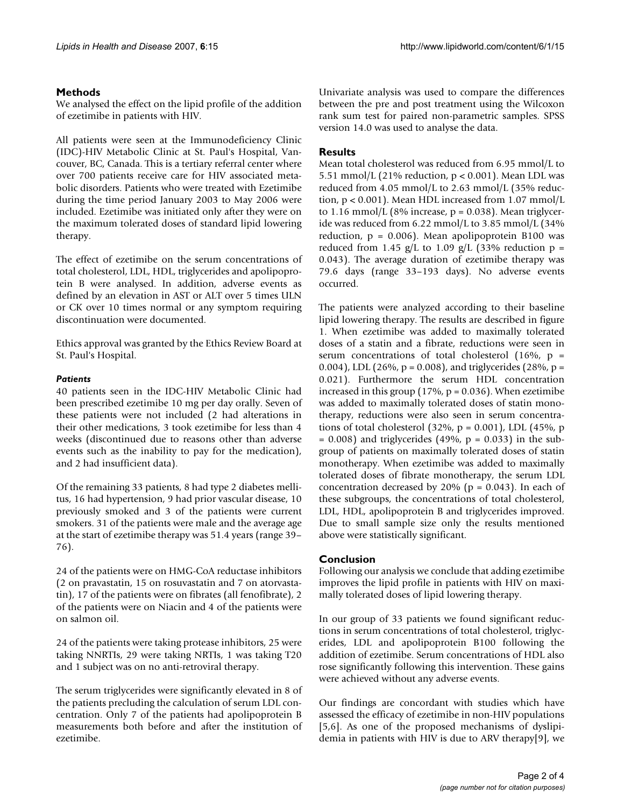#### **Methods**

We analysed the effect on the lipid profile of the addition of ezetimibe in patients with HIV.

All patients were seen at the Immunodeficiency Clinic (IDC)-HIV Metabolic Clinic at St. Paul's Hospital, Vancouver, BC, Canada. This is a tertiary referral center where over 700 patients receive care for HIV associated metabolic disorders. Patients who were treated with Ezetimibe during the time period January 2003 to May 2006 were included. Ezetimibe was initiated only after they were on the maximum tolerated doses of standard lipid lowering therapy.

The effect of ezetimibe on the serum concentrations of total cholesterol, LDL, HDL, triglycerides and apolipoprotein B were analysed. In addition, adverse events as defined by an elevation in AST or ALT over 5 times ULN or CK over 10 times normal or any symptom requiring discontinuation were documented.

Ethics approval was granted by the Ethics Review Board at St. Paul's Hospital.

#### *Patients*

40 patients seen in the IDC-HIV Metabolic Clinic had been prescribed ezetimibe 10 mg per day orally. Seven of these patients were not included (2 had alterations in their other medications, 3 took ezetimibe for less than 4 weeks (discontinued due to reasons other than adverse events such as the inability to pay for the medication), and 2 had insufficient data).

Of the remaining 33 patients, 8 had type 2 diabetes mellitus, 16 had hypertension, 9 had prior vascular disease, 10 previously smoked and 3 of the patients were current smokers. 31 of the patients were male and the average age at the start of ezetimibe therapy was 51.4 years (range 39– 76).

24 of the patients were on HMG-CoA reductase inhibitors (2 on pravastatin, 15 on rosuvastatin and 7 on atorvastatin), 17 of the patients were on fibrates (all fenofibrate), 2 of the patients were on Niacin and 4 of the patients were on salmon oil.

24 of the patients were taking protease inhibitors, 25 were taking NNRTIs, 29 were taking NRTIs, 1 was taking T20 and 1 subject was on no anti-retroviral therapy.

The serum triglycerides were significantly elevated in 8 of the patients precluding the calculation of serum LDL concentration. Only 7 of the patients had apolipoprotein B measurements both before and after the institution of ezetimibe.

Univariate analysis was used to compare the differences between the pre and post treatment using the Wilcoxon rank sum test for paired non-parametric samples. SPSS version 14.0 was used to analyse the data.

### **Results**

Mean total cholesterol was reduced from 6.95 mmol/L to 5.51 mmol/L (21% reduction,  $p < 0.001$ ). Mean LDL was reduced from 4.05 mmol/L to 2.63 mmol/L (35% reduction, p < 0.001). Mean HDL increased from 1.07 mmol/L to 1.16 mmol/L (8% increase,  $p = 0.038$ ). Mean triglyceride was reduced from 6.22 mmol/L to 3.85 mmol/L (34% reduction,  $p = 0.006$ ). Mean apolipoprotein B100 was reduced from 1.45 g/L to 1.09 g/L (33% reduction  $p =$ 0.043). The average duration of ezetimibe therapy was 79.6 days (range 33–193 days). No adverse events occurred.

The patients were analyzed according to their baseline lipid lowering therapy. The results are described in figure 1. When ezetimibe was added to maximally tolerated doses of a statin and a fibrate, reductions were seen in serum concentrations of total cholesterol (16%,  $p =$ 0.004), LDL (26%, p = 0.008), and triglycerides (28%, p = 0.021). Furthermore the serum HDL concentration increased in this group  $(17\%, p = 0.036)$ . When ezetimibe was added to maximally tolerated doses of statin monotherapy, reductions were also seen in serum concentrations of total cholesterol  $(32\%, p = 0.001)$ , LDL  $(45\%, p$  $= 0.008$ ) and triglycerides (49%,  $p = 0.033$ ) in the subgroup of patients on maximally tolerated doses of statin monotherapy. When ezetimibe was added to maximally tolerated doses of fibrate monotherapy, the serum LDL concentration decreased by 20% ( $p = 0.043$ ). In each of these subgroups, the concentrations of total cholesterol, LDL, HDL, apolipoprotein B and triglycerides improved. Due to small sample size only the results mentioned above were statistically significant.

#### **Conclusion**

Following our analysis we conclude that adding ezetimibe improves the lipid profile in patients with HIV on maximally tolerated doses of lipid lowering therapy.

In our group of 33 patients we found significant reductions in serum concentrations of total cholesterol, triglycerides, LDL and apolipoprotein B100 following the addition of ezetimibe. Serum concentrations of HDL also rose significantly following this intervention. These gains were achieved without any adverse events.

Our findings are concordant with studies which have assessed the efficacy of ezetimibe in non-HIV populations [5,6]. As one of the proposed mechanisms of dyslipidemia in patients with HIV is due to ARV therapy[9], we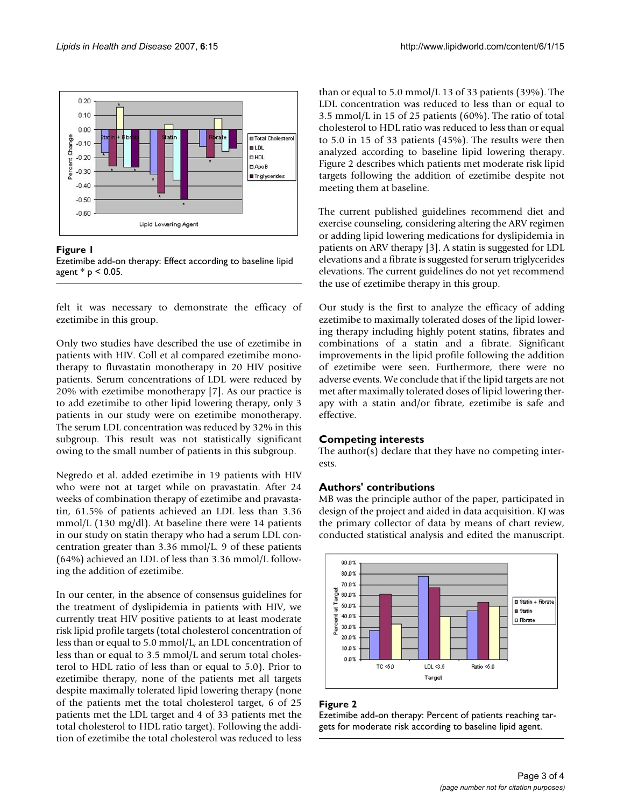

Figure 1



felt it was necessary to demonstrate the efficacy of ezetimibe in this group.

Only two studies have described the use of ezetimibe in patients with HIV. Coll et al compared ezetimibe monotherapy to fluvastatin monotherapy in 20 HIV positive patients. Serum concentrations of LDL were reduced by 20% with ezetimibe monotherapy [7]. As our practice is to add ezetimibe to other lipid lowering therapy, only 3 patients in our study were on ezetimibe monotherapy. The serum LDL concentration was reduced by 32% in this subgroup. This result was not statistically significant owing to the small number of patients in this subgroup.

Negredo et al. added ezetimibe in 19 patients with HIV who were not at target while on pravastatin. After 24 weeks of combination therapy of ezetimibe and pravastatin, 61.5% of patients achieved an LDL less than 3.36 mmol/L (130 mg/dl). At baseline there were 14 patients in our study on statin therapy who had a serum LDL concentration greater than 3.36 mmol/L. 9 of these patients (64%) achieved an LDL of less than 3.36 mmol/L following the addition of ezetimibe.

In our center, in the absence of consensus guidelines for the treatment of dyslipidemia in patients with HIV, we currently treat HIV positive patients to at least moderate risk lipid profile targets (total cholesterol concentration of less than or equal to 5.0 mmol/L, an LDL concentration of less than or equal to 3.5 mmol/L and serum total cholesterol to HDL ratio of less than or equal to 5.0). Prior to ezetimibe therapy, none of the patients met all targets despite maximally tolerated lipid lowering therapy (none of the patients met the total cholesterol target, 6 of 25 patients met the LDL target and 4 of 33 patients met the total cholesterol to HDL ratio target). Following the addition of ezetimibe the total cholesterol was reduced to less

than or equal to 5.0 mmol/L 13 of 33 patients (39%). The LDL concentration was reduced to less than or equal to 3.5 mmol/L in 15 of 25 patients (60%). The ratio of total cholesterol to HDL ratio was reduced to less than or equal to 5.0 in 15 of 33 patients (45%). The results were then analyzed according to baseline lipid lowering therapy. Figure 2 describes which patients met moderate risk lipid targets following the addition of ezetimibe despite not meeting them at baseline.

The current published guidelines recommend diet and exercise counseling, considering altering the ARV regimen or adding lipid lowering medications for dyslipidemia in patients on ARV therapy [3]. A statin is suggested for LDL elevations and a fibrate is suggested for serum triglycerides elevations. The current guidelines do not yet recommend the use of ezetimibe therapy in this group.

Our study is the first to analyze the efficacy of adding ezetimibe to maximally tolerated doses of the lipid lowering therapy including highly potent statins, fibrates and combinations of a statin and a fibrate. Significant improvements in the lipid profile following the addition of ezetimibe were seen. Furthermore, there were no adverse events. We conclude that if the lipid targets are not met after maximally tolerated doses of lipid lowering therapy with a statin and/or fibrate, ezetimibe is safe and effective.

#### **Competing interests**

The author(s) declare that they have no competing interests.

#### **Authors' contributions**

MB was the principle author of the paper, participated in design of the project and aided in data acquisition. KJ was the primary collector of data by means of chart review, conducted statistical analysis and edited the manuscript.



#### Figure 2

Ezetimibe add-on therapy: Percent of patients reaching targets for moderate risk according to baseline lipid agent.